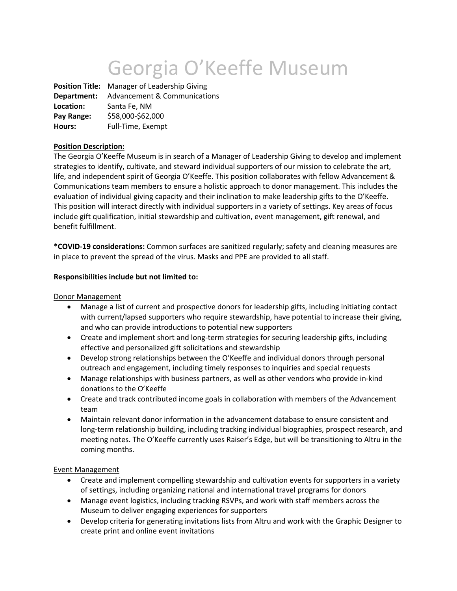# Georgia O'Keeffe Museum

**Position Title:** Manager of Leadership Giving **Department:** Advancement & Communications **Location:** Santa Fe, NM **Pay Range:** \$58,000-\$62,000 **Hours:** Full-Time, Exempt

## **Position Description:**

The Georgia O'Keeffe Museum is in search of a Manager of Leadership Giving to develop and implement strategies to identify, cultivate, and steward individual supporters of our mission to celebrate the art, life, and independent spirit of Georgia O'Keeffe. This position collaborates with fellow Advancement & Communications team members to ensure a holistic approach to donor management. This includes the evaluation of individual giving capacity and their inclination to make leadership gifts to the O'Keeffe. This position will interact directly with individual supporters in a variety of settings. Key areas of focus include gift qualification, initial stewardship and cultivation, event management, gift renewal, and benefit fulfillment.

**\*COVID-19 considerations:** Common surfaces are sanitized regularly; safety and cleaning measures are in place to prevent the spread of the virus. Masks and PPE are provided to all staff.

#### **Responsibilities include but not limited to:**

#### Donor Management

- Manage a list of current and prospective donors for leadership gifts, including initiating contact with current/lapsed supporters who require stewardship, have potential to increase their giving, and who can provide introductions to potential new supporters
- Create and implement short and long-term strategies for securing leadership gifts, including effective and personalized gift solicitations and stewardship
- Develop strong relationships between the O'Keeffe and individual donors through personal outreach and engagement, including timely responses to inquiries and special requests
- Manage relationships with business partners, as well as other vendors who provide in-kind donations to the O'Keeffe
- Create and track contributed income goals in collaboration with members of the Advancement team
- Maintain relevant donor information in the advancement database to ensure consistent and long-term relationship building, including tracking individual biographies, prospect research, and meeting notes. The O'Keeffe currently uses Raiser's Edge, but will be transitioning to Altru in the coming months.

## Event Management

- Create and implement compelling stewardship and cultivation events for supporters in a variety of settings, including organizing national and international travel programs for donors
- Manage event logistics, including tracking RSVPs, and work with staff members across the Museum to deliver engaging experiences for supporters
- Develop criteria for generating invitations lists from Altru and work with the Graphic Designer to create print and online event invitations